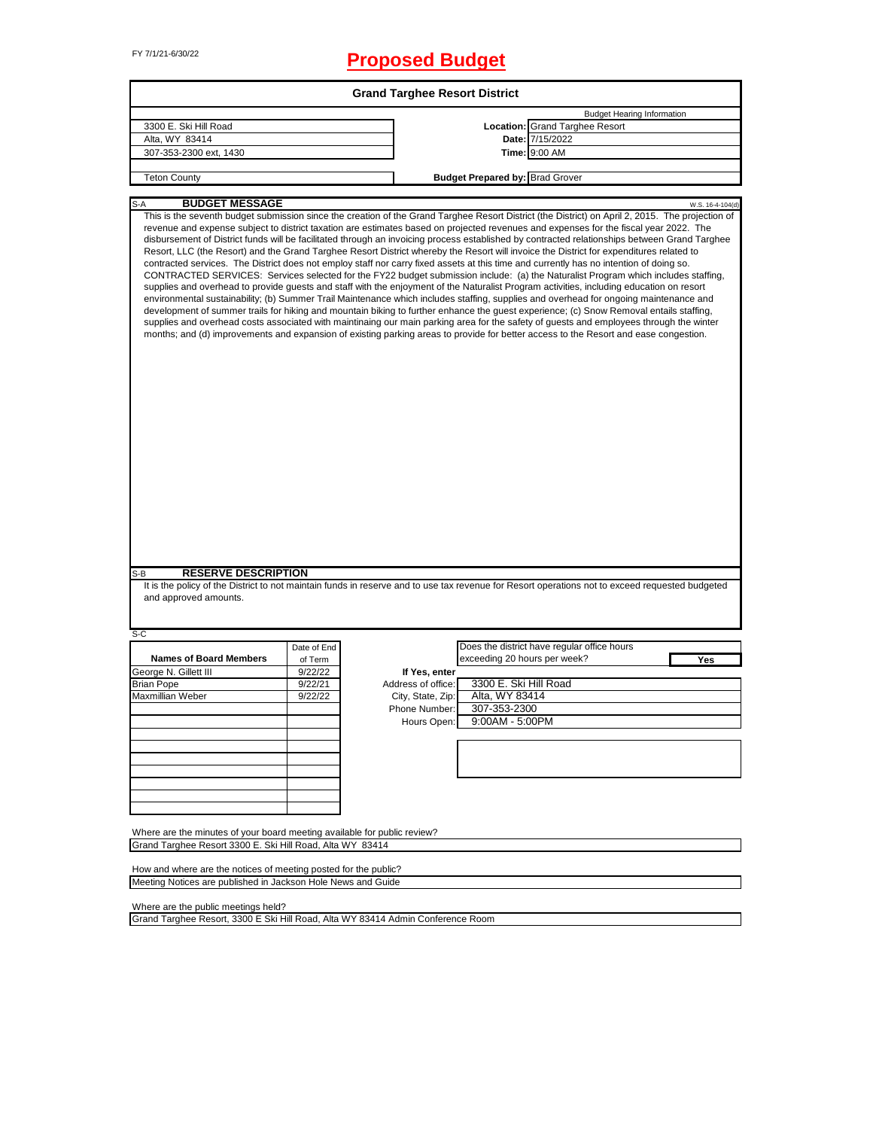# FY 7/1/21-6/30/22 **Proposed Budget**

|                                                                          |             | <b>Grand Targhee Resort District</b> |                                        |                                                                                                                                                                                                                                                                                                                                                                                                                                                                                                                                                                                                                                                                                                                                                                                                                                                                                                                                                                                                                                                                                                                                                                                                                                                                                                                                                                                                                                                                                                                                                                                           |
|--------------------------------------------------------------------------|-------------|--------------------------------------|----------------------------------------|-------------------------------------------------------------------------------------------------------------------------------------------------------------------------------------------------------------------------------------------------------------------------------------------------------------------------------------------------------------------------------------------------------------------------------------------------------------------------------------------------------------------------------------------------------------------------------------------------------------------------------------------------------------------------------------------------------------------------------------------------------------------------------------------------------------------------------------------------------------------------------------------------------------------------------------------------------------------------------------------------------------------------------------------------------------------------------------------------------------------------------------------------------------------------------------------------------------------------------------------------------------------------------------------------------------------------------------------------------------------------------------------------------------------------------------------------------------------------------------------------------------------------------------------------------------------------------------------|
|                                                                          |             |                                      |                                        | <b>Budget Hearing Information</b>                                                                                                                                                                                                                                                                                                                                                                                                                                                                                                                                                                                                                                                                                                                                                                                                                                                                                                                                                                                                                                                                                                                                                                                                                                                                                                                                                                                                                                                                                                                                                         |
| 3300 E. Ski Hill Road                                                    |             |                                      |                                        | <b>Location: Grand Targhee Resort</b>                                                                                                                                                                                                                                                                                                                                                                                                                                                                                                                                                                                                                                                                                                                                                                                                                                                                                                                                                                                                                                                                                                                                                                                                                                                                                                                                                                                                                                                                                                                                                     |
| Alta, WY 83414                                                           |             |                                      |                                        | Date: 7/15/2022                                                                                                                                                                                                                                                                                                                                                                                                                                                                                                                                                                                                                                                                                                                                                                                                                                                                                                                                                                                                                                                                                                                                                                                                                                                                                                                                                                                                                                                                                                                                                                           |
| 307-353-2300 ext, 1430                                                   |             |                                      |                                        | Time: 9:00 AM                                                                                                                                                                                                                                                                                                                                                                                                                                                                                                                                                                                                                                                                                                                                                                                                                                                                                                                                                                                                                                                                                                                                                                                                                                                                                                                                                                                                                                                                                                                                                                             |
|                                                                          |             |                                      |                                        |                                                                                                                                                                                                                                                                                                                                                                                                                                                                                                                                                                                                                                                                                                                                                                                                                                                                                                                                                                                                                                                                                                                                                                                                                                                                                                                                                                                                                                                                                                                                                                                           |
| <b>Teton County</b>                                                      |             |                                      | <b>Budget Prepared by: Brad Grover</b> |                                                                                                                                                                                                                                                                                                                                                                                                                                                                                                                                                                                                                                                                                                                                                                                                                                                                                                                                                                                                                                                                                                                                                                                                                                                                                                                                                                                                                                                                                                                                                                                           |
| <b>BUDGET MESSAGE</b><br>$S-A$                                           |             |                                      |                                        | W.S. 16-4-104(d)                                                                                                                                                                                                                                                                                                                                                                                                                                                                                                                                                                                                                                                                                                                                                                                                                                                                                                                                                                                                                                                                                                                                                                                                                                                                                                                                                                                                                                                                                                                                                                          |
|                                                                          |             |                                      |                                        | This is the seventh budget submission since the creation of the Grand Targhee Resort District (the District) on April 2, 2015. The projection of<br>revenue and expense subject to district taxation are estimates based on projected revenues and expenses for the fiscal year 2022. The<br>disbursement of District funds will be facilitated through an invoicing process established by contracted relationships between Grand Targhee<br>Resort, LLC (the Resort) and the Grand Targhee Resort District whereby the Resort will invoice the District for expenditures related to<br>contracted services. The District does not employ staff nor carry fixed assets at this time and currently has no intention of doing so.<br>CONTRACTED SERVICES: Services selected for the FY22 budget submission include: (a) the Naturalist Program which includes staffing,<br>supplies and overhead to provide guests and staff with the enjoyment of the Naturalist Program activities, including education on resort<br>environmental sustainability; (b) Summer Trail Maintenance which includes staffing, supplies and overhead for ongoing maintenance and<br>development of summer trails for hiking and mountain biking to further enhance the guest experience; (c) Snow Removal entails staffing,<br>supplies and overhead costs associated with maintinaing our main parking area for the safety of guests and employees through the winter<br>months; and (d) improvements and expansion of existing parking areas to provide for better access to the Resort and ease congestion. |
|                                                                          |             |                                      |                                        |                                                                                                                                                                                                                                                                                                                                                                                                                                                                                                                                                                                                                                                                                                                                                                                                                                                                                                                                                                                                                                                                                                                                                                                                                                                                                                                                                                                                                                                                                                                                                                                           |
|                                                                          |             |                                      |                                        |                                                                                                                                                                                                                                                                                                                                                                                                                                                                                                                                                                                                                                                                                                                                                                                                                                                                                                                                                                                                                                                                                                                                                                                                                                                                                                                                                                                                                                                                                                                                                                                           |
| <b>RESERVE DESCRIPTION</b><br>S-B<br>and approved amounts.               |             |                                      |                                        | It is the policy of the District to not maintain funds in reserve and to use tax revenue for Resort operations not to exceed requested budgeted                                                                                                                                                                                                                                                                                                                                                                                                                                                                                                                                                                                                                                                                                                                                                                                                                                                                                                                                                                                                                                                                                                                                                                                                                                                                                                                                                                                                                                           |
| $S-C$                                                                    |             |                                      |                                        |                                                                                                                                                                                                                                                                                                                                                                                                                                                                                                                                                                                                                                                                                                                                                                                                                                                                                                                                                                                                                                                                                                                                                                                                                                                                                                                                                                                                                                                                                                                                                                                           |
|                                                                          | Date of End |                                      |                                        | Does the district have regular office hours                                                                                                                                                                                                                                                                                                                                                                                                                                                                                                                                                                                                                                                                                                                                                                                                                                                                                                                                                                                                                                                                                                                                                                                                                                                                                                                                                                                                                                                                                                                                               |
| <b>Names of Board Members</b>                                            | of Term     |                                      | exceeding 20 hours per week?           | Yes                                                                                                                                                                                                                                                                                                                                                                                                                                                                                                                                                                                                                                                                                                                                                                                                                                                                                                                                                                                                                                                                                                                                                                                                                                                                                                                                                                                                                                                                                                                                                                                       |
| George N. Gillett III                                                    | 9/22/22     | If Yes, enter                        |                                        |                                                                                                                                                                                                                                                                                                                                                                                                                                                                                                                                                                                                                                                                                                                                                                                                                                                                                                                                                                                                                                                                                                                                                                                                                                                                                                                                                                                                                                                                                                                                                                                           |
| <b>Brian Pope</b>                                                        | 9/22/21     | Address of office:                   | 3300 E. Ski Hill Road                  |                                                                                                                                                                                                                                                                                                                                                                                                                                                                                                                                                                                                                                                                                                                                                                                                                                                                                                                                                                                                                                                                                                                                                                                                                                                                                                                                                                                                                                                                                                                                                                                           |
| Maxmillian Weber                                                         | 9/22/22     | City, State, Zip:                    | Alta, WY 83414                         |                                                                                                                                                                                                                                                                                                                                                                                                                                                                                                                                                                                                                                                                                                                                                                                                                                                                                                                                                                                                                                                                                                                                                                                                                                                                                                                                                                                                                                                                                                                                                                                           |
|                                                                          |             | Phone Number:                        | 307-353-2300                           |                                                                                                                                                                                                                                                                                                                                                                                                                                                                                                                                                                                                                                                                                                                                                                                                                                                                                                                                                                                                                                                                                                                                                                                                                                                                                                                                                                                                                                                                                                                                                                                           |
|                                                                          |             | Hours Open:                          | 9:00AM - 5:00PM                        |                                                                                                                                                                                                                                                                                                                                                                                                                                                                                                                                                                                                                                                                                                                                                                                                                                                                                                                                                                                                                                                                                                                                                                                                                                                                                                                                                                                                                                                                                                                                                                                           |
|                                                                          |             |                                      |                                        |                                                                                                                                                                                                                                                                                                                                                                                                                                                                                                                                                                                                                                                                                                                                                                                                                                                                                                                                                                                                                                                                                                                                                                                                                                                                                                                                                                                                                                                                                                                                                                                           |
|                                                                          |             |                                      |                                        |                                                                                                                                                                                                                                                                                                                                                                                                                                                                                                                                                                                                                                                                                                                                                                                                                                                                                                                                                                                                                                                                                                                                                                                                                                                                                                                                                                                                                                                                                                                                                                                           |
|                                                                          |             |                                      |                                        |                                                                                                                                                                                                                                                                                                                                                                                                                                                                                                                                                                                                                                                                                                                                                                                                                                                                                                                                                                                                                                                                                                                                                                                                                                                                                                                                                                                                                                                                                                                                                                                           |
|                                                                          |             |                                      |                                        |                                                                                                                                                                                                                                                                                                                                                                                                                                                                                                                                                                                                                                                                                                                                                                                                                                                                                                                                                                                                                                                                                                                                                                                                                                                                                                                                                                                                                                                                                                                                                                                           |
|                                                                          |             |                                      |                                        |                                                                                                                                                                                                                                                                                                                                                                                                                                                                                                                                                                                                                                                                                                                                                                                                                                                                                                                                                                                                                                                                                                                                                                                                                                                                                                                                                                                                                                                                                                                                                                                           |
|                                                                          |             |                                      |                                        |                                                                                                                                                                                                                                                                                                                                                                                                                                                                                                                                                                                                                                                                                                                                                                                                                                                                                                                                                                                                                                                                                                                                                                                                                                                                                                                                                                                                                                                                                                                                                                                           |
|                                                                          |             |                                      |                                        |                                                                                                                                                                                                                                                                                                                                                                                                                                                                                                                                                                                                                                                                                                                                                                                                                                                                                                                                                                                                                                                                                                                                                                                                                                                                                                                                                                                                                                                                                                                                                                                           |
|                                                                          |             |                                      |                                        |                                                                                                                                                                                                                                                                                                                                                                                                                                                                                                                                                                                                                                                                                                                                                                                                                                                                                                                                                                                                                                                                                                                                                                                                                                                                                                                                                                                                                                                                                                                                                                                           |
| Where are the minutes of your board meeting available for public review? |             |                                      |                                        |                                                                                                                                                                                                                                                                                                                                                                                                                                                                                                                                                                                                                                                                                                                                                                                                                                                                                                                                                                                                                                                                                                                                                                                                                                                                                                                                                                                                                                                                                                                                                                                           |
| Grand Targhee Resort 3300 E. Ski Hill Road, Alta WY 83414                |             |                                      |                                        |                                                                                                                                                                                                                                                                                                                                                                                                                                                                                                                                                                                                                                                                                                                                                                                                                                                                                                                                                                                                                                                                                                                                                                                                                                                                                                                                                                                                                                                                                                                                                                                           |
| How and where are the notices of meeting posted for the public?          |             |                                      |                                        |                                                                                                                                                                                                                                                                                                                                                                                                                                                                                                                                                                                                                                                                                                                                                                                                                                                                                                                                                                                                                                                                                                                                                                                                                                                                                                                                                                                                                                                                                                                                                                                           |

Where are the public meetings held?

Grand Targhee Resort, 3300 E Ski Hill Road, Alta WY 83414 Admin Conference Room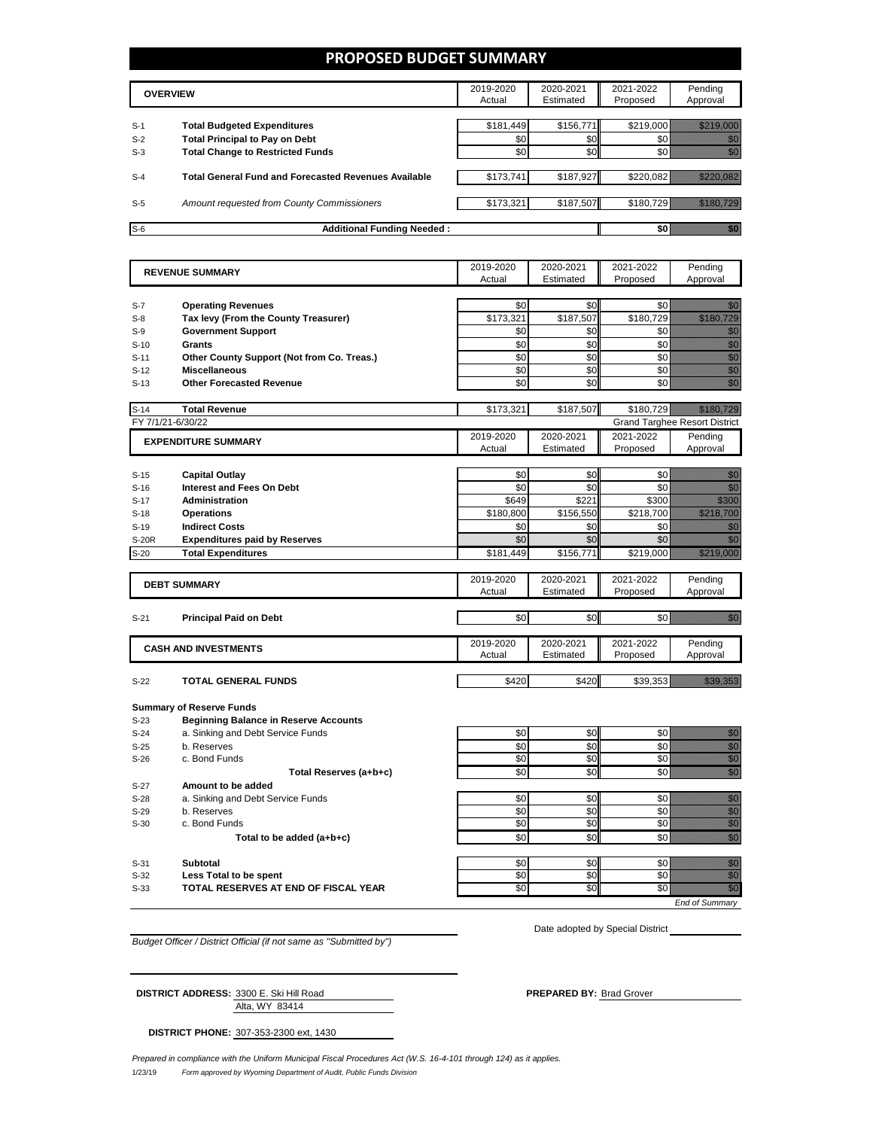### **PROPOSED BUDGET SUMMARY**

|       | <b>OVERVIEW</b>                                             | 2019-2020<br>Actual | 2020-2021<br>Estimated | 2021-2022<br>Proposed | Pending<br>Approval |
|-------|-------------------------------------------------------------|---------------------|------------------------|-----------------------|---------------------|
| $S-1$ | <b>Total Budgeted Expenditures</b>                          | \$181,449           | \$156.771              | \$219,000             |                     |
| $S-2$ | <b>Total Principal to Pay on Debt</b>                       | \$0                 | \$0                    |                       |                     |
| $S-3$ | <b>Total Change to Restricted Funds</b>                     | \$0                 | \$0                    |                       |                     |
|       |                                                             |                     |                        |                       |                     |
| $S-4$ | <b>Total General Fund and Forecasted Revenues Available</b> | \$173,741           | \$187,927              | \$220.082             |                     |
|       |                                                             |                     |                        |                       |                     |
| $S-5$ | Amount requested from County Commissioners                  | \$173,321           | \$187,507              | \$180.729             |                     |
| $S-6$ | <b>Additional Funding Needed:</b>                           |                     |                        |                       |                     |

| <b>REVENUE SUMMARY</b> |                                                           | 2019-2020          | 2020-2021          | 2021-2022          | Pending                                                                                                                                                                                                                                                                                                                                                                                                                                                              |
|------------------------|-----------------------------------------------------------|--------------------|--------------------|--------------------|----------------------------------------------------------------------------------------------------------------------------------------------------------------------------------------------------------------------------------------------------------------------------------------------------------------------------------------------------------------------------------------------------------------------------------------------------------------------|
|                        |                                                           | Actual             | Estimated          | Proposed           | Approval                                                                                                                                                                                                                                                                                                                                                                                                                                                             |
| $S-7$                  | <b>Operating Revenues</b>                                 | \$0                | \$0                | \$0                | en de la familie de la familie de la familie de la familie de la familie de la familie de la familie de la fam<br>De la familie de la familie de la familie de la familie de la familie de la familie de la familie de la famili                                                                                                                                                                                                                                     |
| $S-8$                  | Tax levy (From the County Treasurer)                      | \$173,321          | \$187,507          | \$180,729          | <u> Karlin Mariji (</u>                                                                                                                                                                                                                                                                                                                                                                                                                                              |
| $S-9$                  | <b>Government Support</b>                                 | \$0                | \$0                | \$0                | en de la familie de la familie de la familie de la familie de la familie de la familie de la familie de la fa<br>Concelho de la familie de la familie de la familie de la familie de la familie de la familie de la familie de                                                                                                                                                                                                                                       |
| $S-10$                 | Grants                                                    | \$0                | \$0                | \$0                | en de la familie de la familie de la familie de la familie de la familie de la familie de la familie de la fa<br>Constitution de la familie de la familie de la familie de la familie de la familie de la familie de la familie                                                                                                                                                                                                                                      |
| $S-11$                 | Other County Support (Not from Co. Treas.)                | \$0                | \$0                | \$0                | en en de former de la former de la former de la former de la former de la former de la former de la former de<br>Constantin de la former de la former de la former de la former de la former de la former de la former de la fo                                                                                                                                                                                                                                      |
| $S-12$                 | <b>Miscellaneous</b>                                      | \$0                | \$0                | \$0                | en de la familie de la familie de la familie de la familie de la familie de la familie de la familie de la fam<br>Construction de la familie de la familie de la familie de la familie de la familie de la familie de la familie                                                                                                                                                                                                                                     |
| $S-13$                 | <b>Other Forecasted Revenue</b>                           | \$0                | \$0                | \$0                | en de la familie de la familie de la familie de la familie de la familie de la familie de la familie de la fam<br>Construction de la familie de la familie de la familie de la familie de la familie de la familie de la familie                                                                                                                                                                                                                                     |
|                        |                                                           |                    |                    |                    |                                                                                                                                                                                                                                                                                                                                                                                                                                                                      |
| $S-14$                 | <b>Total Revenue</b>                                      | \$173,321          | \$187,507          | \$180.729          |                                                                                                                                                                                                                                                                                                                                                                                                                                                                      |
|                        | FY 7/1/21-6/30/22                                         |                    |                    |                    | <b>Grand Targhee Resort District</b>                                                                                                                                                                                                                                                                                                                                                                                                                                 |
|                        | <b>EXPENDITURE SUMMARY</b>                                | 2019-2020          | 2020-2021          | 2021-2022          | Pending                                                                                                                                                                                                                                                                                                                                                                                                                                                              |
|                        |                                                           | Actual             | Estimated          | Proposed           | Approval                                                                                                                                                                                                                                                                                                                                                                                                                                                             |
|                        |                                                           |                    |                    |                    |                                                                                                                                                                                                                                                                                                                                                                                                                                                                      |
| $S-15$                 | <b>Capital Outlay</b><br><b>Interest and Fees On Debt</b> | \$0<br>\$0         | \$0<br>\$0         | \$0<br>\$0         | <u>ti k</u><br>en de la familie de la familie de la familie de la familie de la familie de la familie de la familie de la fam<br>Constituit de la familie de la familie de la familie de la familie de la familie de la familie de la familie d                                                                                                                                                                                                                      |
| $S-16$                 |                                                           |                    |                    |                    | <u>e de la</u>                                                                                                                                                                                                                                                                                                                                                                                                                                                       |
| $S-17$                 | Administration                                            | \$649<br>\$180,800 | \$221<br>\$156,550 | \$300<br>\$218,700 | <u> Martin Martin </u>                                                                                                                                                                                                                                                                                                                                                                                                                                               |
| $S-18$                 | <b>Operations</b>                                         |                    |                    |                    |                                                                                                                                                                                                                                                                                                                                                                                                                                                                      |
| $S-19$                 | <b>Indirect Costs</b>                                     | \$0<br>\$0         | \$0<br>\$0         | \$0<br>\$0         | an dhe<br>en de la familie de la familie de la familie de la familie de la familie de la familie de la familie de la fa<br>Concello de la familie de la familie de la familie de la familie de la familie de la familie de la familie de                                                                                                                                                                                                                             |
| <b>S-20R</b>           | <b>Expenditures paid by Reserves</b>                      |                    |                    |                    |                                                                                                                                                                                                                                                                                                                                                                                                                                                                      |
| $S-20$                 | <b>Total Expenditures</b>                                 | \$181.449          | \$156,771          | \$219,000          | <u>Maria Ser</u>                                                                                                                                                                                                                                                                                                                                                                                                                                                     |
|                        |                                                           | 2019-2020          | 2020-2021          | 2021-2022          | Pending                                                                                                                                                                                                                                                                                                                                                                                                                                                              |
|                        | <b>DEBT SUMMARY</b>                                       | Actual             | Estimated          | Proposed           | Approval                                                                                                                                                                                                                                                                                                                                                                                                                                                             |
|                        |                                                           |                    |                    |                    |                                                                                                                                                                                                                                                                                                                                                                                                                                                                      |
| $S-21$                 | <b>Principal Paid on Debt</b>                             | \$0                | \$0                | \$0                | en de la familie de la familie de la familie de la familie de la familie de la familie de la familie de la fa<br>Constitution de la familie de la familie de la familie de la familie de la familie de la familie de la familie                                                                                                                                                                                                                                      |
|                        |                                                           | 2019-2020          | 2020-2021          | 2021-2022          | Pending                                                                                                                                                                                                                                                                                                                                                                                                                                                              |
|                        | <b>CASH AND INVESTMENTS</b>                               | Actual             | Estimated          | Proposed           | Approval                                                                                                                                                                                                                                                                                                                                                                                                                                                             |
|                        |                                                           |                    |                    |                    |                                                                                                                                                                                                                                                                                                                                                                                                                                                                      |
| $S-22$                 | <b>TOTAL GENERAL FUNDS</b>                                | \$420              | \$420              | \$39,353           | <u>Timoni n</u>                                                                                                                                                                                                                                                                                                                                                                                                                                                      |
|                        |                                                           |                    |                    |                    |                                                                                                                                                                                                                                                                                                                                                                                                                                                                      |
|                        | <b>Summary of Reserve Funds</b>                           |                    |                    |                    |                                                                                                                                                                                                                                                                                                                                                                                                                                                                      |
| $S-23$                 | <b>Beginning Balance in Reserve Accounts</b>              |                    |                    |                    |                                                                                                                                                                                                                                                                                                                                                                                                                                                                      |
| $S-24$                 | a. Sinking and Debt Service Funds                         | \$0                | \$0                | \$0                | en de la familie de la familie de la familie de la familie de la familie de la familie de la familie de la fam<br>Constituit de la familie de la familie de la familie de la familie de la familie de la familie de la familie d                                                                                                                                                                                                                                     |
| $S-25$                 | b. Reserves                                               | \$0                | \$0                | \$0                | e alla segunda<br>Alla segunda<br>Alla segunda                                                                                                                                                                                                                                                                                                                                                                                                                       |
| $S-26$                 | c. Bond Funds                                             | \$0                | \$0                | \$0                |                                                                                                                                                                                                                                                                                                                                                                                                                                                                      |
|                        | Total Reserves (a+b+c)                                    | \$0                | \$0                | \$0                | en de la familie de la familie de la familie de la familie de la familie de la familie de la familie de la fa<br>Concelho de la familie de la familie de la familie de la familie de la familie de la familie de la familie de                                                                                                                                                                                                                                       |
| $S-27$                 | Amount to be added                                        |                    |                    |                    |                                                                                                                                                                                                                                                                                                                                                                                                                                                                      |
| $S-28$                 | a. Sinking and Debt Service Funds                         | \$0                | \$0                | \$0                | en de la falsa de la falsa de la falsa de la falsa de la falsa de la falsa de la falsa de la falsa de la falsa<br>Estados de la falsa de la falsa de la falsa de la falsa de la falsa de la falsa de la falsa de la falsa de la                                                                                                                                                                                                                                      |
| $S-29$                 | b. Reserves                                               | \$0                | \$0                | \$0                | en de la familie de la familie de la familie de la familie de la familie de la familie de la familie de la fam<br>Estat de la familie de la familie de la familie de la familie de la familie de la familie de la familie de la                                                                                                                                                                                                                                      |
| $S-30$                 | c. Bond Funds                                             | \$0                | \$0                | \$0                | enne<br>Militär                                                                                                                                                                                                                                                                                                                                                                                                                                                      |
|                        | Total to be added (a+b+c)                                 | \$0                | \$0                | \$0                | en de la familie de la familie de la familie de la familie de la familie de la familie de la familie de la fa<br>Concello de la familie de la familie de la familie de la familie de la familie de la familie de la familie de                                                                                                                                                                                                                                       |
|                        |                                                           |                    |                    |                    |                                                                                                                                                                                                                                                                                                                                                                                                                                                                      |
| $S-31$<br>$S-32$       | <b>Subtotal</b><br>Less Total to be spent                 | \$0<br>\$0         | \$0<br>\$0         | \$0<br>\$0         | en de la familie de la familie de la familie de la familie de la familie de la familie de la familie de la fam<br>Constitution de la familie de la familie de la familie de la familie de la familie de la familie de la familie<br>en de la familie de la familie de la familie de la familie de la familie de la familie de la familie de la fam<br>Constituit de la familie de la familie de la familie de la familie de la familie de la familie de la familie d |
| $S-33$                 | TOTAL RESERVES AT END OF FISCAL YEAR                      | \$0                | SO                 | $\overline{50}$    | en de la familie de la familie de la familie de la familie de la familie de la familie de la familie de la fa<br>Constitution de la familie de la familie de la familie de la familie de la familie de la familie de la familie                                                                                                                                                                                                                                      |
|                        |                                                           |                    |                    |                    | <b>End of Summary</b>                                                                                                                                                                                                                                                                                                                                                                                                                                                |
|                        |                                                           |                    |                    |                    |                                                                                                                                                                                                                                                                                                                                                                                                                                                                      |

*Budget Officer / District Official (if not same as "Submitted by")*

Date adopted by Special District \_\_

Alta, WY 83414 **DISTRICT ADDRESS:** 3300 E. Ski Hill Road **PREPARED BY:** Brad Grover

**DISTRICT PHONE:** 307-353-2300 ext, 1430

1/23/19 *Form approved by Wyoming Department of Audit, Public Funds Division Prepared in compliance with the Uniform Municipal Fiscal Procedures Act (W.S. 16-4-101 through 124) as it applies.*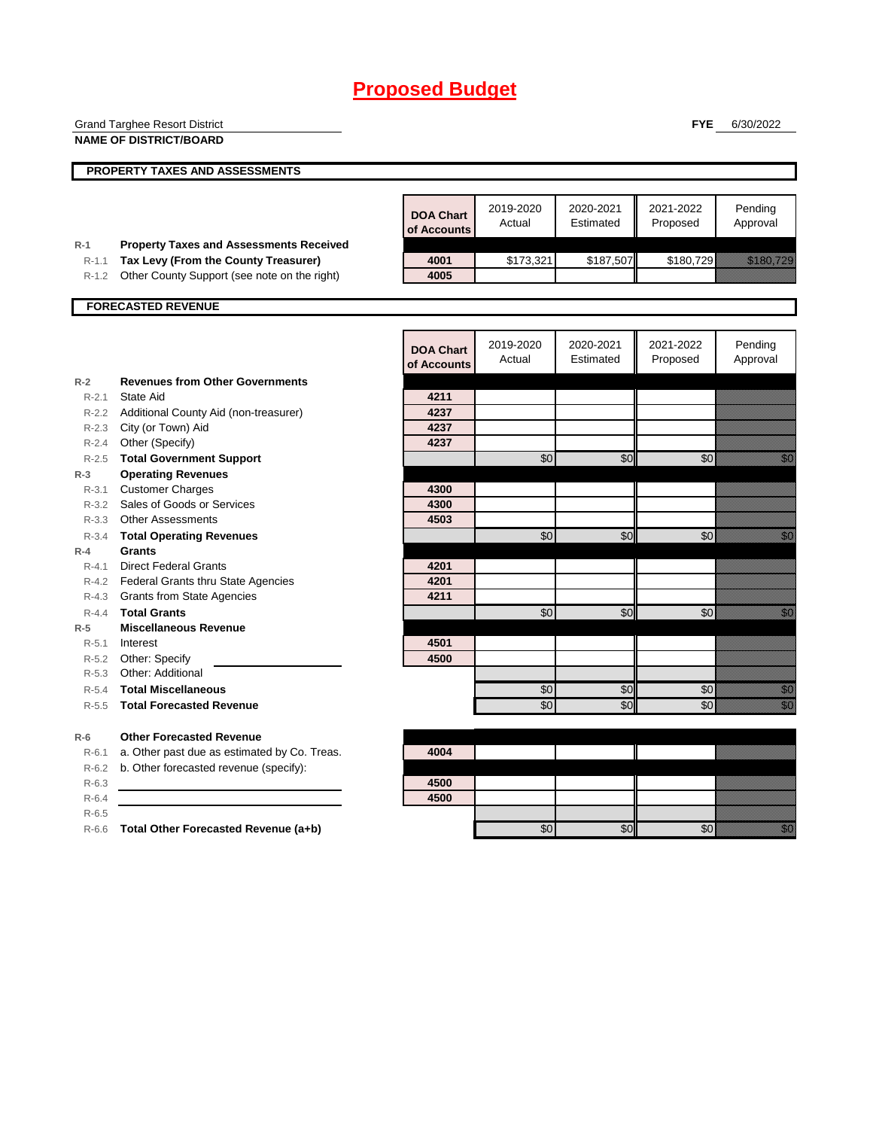|                  | <b>Grand Targhee Resort District</b>           |                  |           |           | <b>FYE</b> | 6/30/2022                                                                                                                                                                                                                        |
|------------------|------------------------------------------------|------------------|-----------|-----------|------------|----------------------------------------------------------------------------------------------------------------------------------------------------------------------------------------------------------------------------------|
|                  | <b>NAME OF DISTRICT/BOARD</b>                  |                  |           |           |            |                                                                                                                                                                                                                                  |
|                  |                                                |                  |           |           |            |                                                                                                                                                                                                                                  |
|                  | PROPERTY TAXES AND ASSESSMENTS                 |                  |           |           |            |                                                                                                                                                                                                                                  |
|                  |                                                |                  |           |           |            |                                                                                                                                                                                                                                  |
|                  |                                                | <b>DOA Chart</b> | 2019-2020 | 2020-2021 | 2021-2022  | Pending                                                                                                                                                                                                                          |
|                  |                                                | of Accounts      | Actual    | Estimated | Proposed   | Approval                                                                                                                                                                                                                         |
| $R-1$            | <b>Property Taxes and Assessments Received</b> |                  |           |           |            |                                                                                                                                                                                                                                  |
| $R - 1.1$        | Tax Levy (From the County Treasurer)           | 4001             | \$173,321 | \$187,507 | \$180,729  | <u> Harry Alexandria (</u>                                                                                                                                                                                                       |
| $R - 1.2$        | Other County Support (see note on the right)   | 4005             |           |           |            |                                                                                                                                                                                                                                  |
|                  |                                                |                  |           |           |            |                                                                                                                                                                                                                                  |
|                  | <b>FORECASTED REVENUE</b>                      |                  |           |           |            |                                                                                                                                                                                                                                  |
|                  |                                                |                  |           |           |            |                                                                                                                                                                                                                                  |
|                  |                                                | <b>DOA Chart</b> | 2019-2020 | 2020-2021 | 2021-2022  | Pending                                                                                                                                                                                                                          |
|                  |                                                | of Accounts      | Actual    | Estimated | Proposed   | Approval                                                                                                                                                                                                                         |
| $R-2$            | <b>Revenues from Other Governments</b>         |                  |           |           |            |                                                                                                                                                                                                                                  |
| $R - 2.1$        | State Aid                                      | 4211             |           |           |            |                                                                                                                                                                                                                                  |
| $R - 2.2$        | Additional County Aid (non-treasurer)          | 4237             |           |           |            |                                                                                                                                                                                                                                  |
| R-2.3            | City (or Town) Aid                             | 4237             |           |           |            |                                                                                                                                                                                                                                  |
| $R - 2.4$        | Other (Specify)                                | 4237             |           |           |            |                                                                                                                                                                                                                                  |
|                  | R-2.5 Total Government Support                 |                  | \$0       | \$0       | \$0        | en de la familie de la familie de la familie de la familie de la familie de la familie de la familie de la fam<br>De la familie de la familie de la familie de la familie de la familie de la familie de la familie de la famili |
| $R-3$            | <b>Operating Revenues</b>                      |                  |           |           |            |                                                                                                                                                                                                                                  |
| R-3.1            | <b>Customer Charges</b>                        | 4300             |           |           |            |                                                                                                                                                                                                                                  |
| $R - 3.2$        | Sales of Goods or Services                     | 4300             |           |           |            |                                                                                                                                                                                                                                  |
| $R - 3.3$        | <b>Other Assessments</b>                       | 4503             |           |           |            |                                                                                                                                                                                                                                  |
|                  | R-3.4 Total Operating Revenues                 |                  | \$0       | \$0       | \$0        | en de la familie de la familie de la familie de la familie de la familie de la familie de la familie de la fam<br>Constitution de la familie de la familie de la familie de la familie de la familie de la familie de la familie |
| $R-4$            | <b>Grants</b>                                  |                  |           |           |            |                                                                                                                                                                                                                                  |
| $R - 4.1$        | <b>Direct Federal Grants</b>                   | 4201             |           |           |            |                                                                                                                                                                                                                                  |
| R-4.2            | Federal Grants thru State Agencies             | 4201             |           |           |            |                                                                                                                                                                                                                                  |
| R-4.3            | <b>Grants from State Agencies</b>              | 4211             |           |           |            |                                                                                                                                                                                                                                  |
| $R - 4.4$        | <b>Total Grants</b>                            |                  | \$0       | \$0       | \$0        | <u> Karl</u>                                                                                                                                                                                                                     |
| $R-5$            | <b>Miscellaneous Revenue</b>                   |                  |           |           |            |                                                                                                                                                                                                                                  |
| R-5.1            | Interest                                       | 4501<br>4500     |           |           |            |                                                                                                                                                                                                                                  |
| $R-5.2$<br>R-5.3 | Other: Specify<br>Other: Additional            |                  |           |           |            |                                                                                                                                                                                                                                  |
| $R-5.4$          | <b>Total Miscellaneous</b>                     |                  | \$0       | \$0       | \$0        | en de la familie de la familie de la familie de la familie de la familie de la familie de la familie de la fam<br>De la familie de la familie de la familie de la familie de la familie de la familie de la familie de la famili |
| $R - 5.5$        | <b>Total Forecasted Revenue</b>                |                  | \$0       | \$0       | \$0        | en<br>Vidu                                                                                                                                                                                                                       |
|                  |                                                |                  |           |           |            |                                                                                                                                                                                                                                  |
| $R-6$            | <b>Other Forecasted Revenue</b>                |                  |           |           |            |                                                                                                                                                                                                                                  |
| $R-6.1$          | a. Other past due as estimated by Co. Treas.   | 4004             |           |           |            |                                                                                                                                                                                                                                  |
| $R-6.2$          | b. Other forecasted revenue (specify):         |                  |           |           |            |                                                                                                                                                                                                                                  |
| $R-6.3$          |                                                | 4500             |           |           |            |                                                                                                                                                                                                                                  |
| $R-6.4$          |                                                | 4500             |           |           |            |                                                                                                                                                                                                                                  |
| $R-6.5$          |                                                |                  |           |           |            |                                                                                                                                                                                                                                  |
|                  | R-6.6 Total Other Forecasted Revenue (a+b)     |                  | \$0       | \$0       | \$0        | <u>man</u>                                                                                                                                                                                                                       |
|                  |                                                |                  |           |           |            |                                                                                                                                                                                                                                  |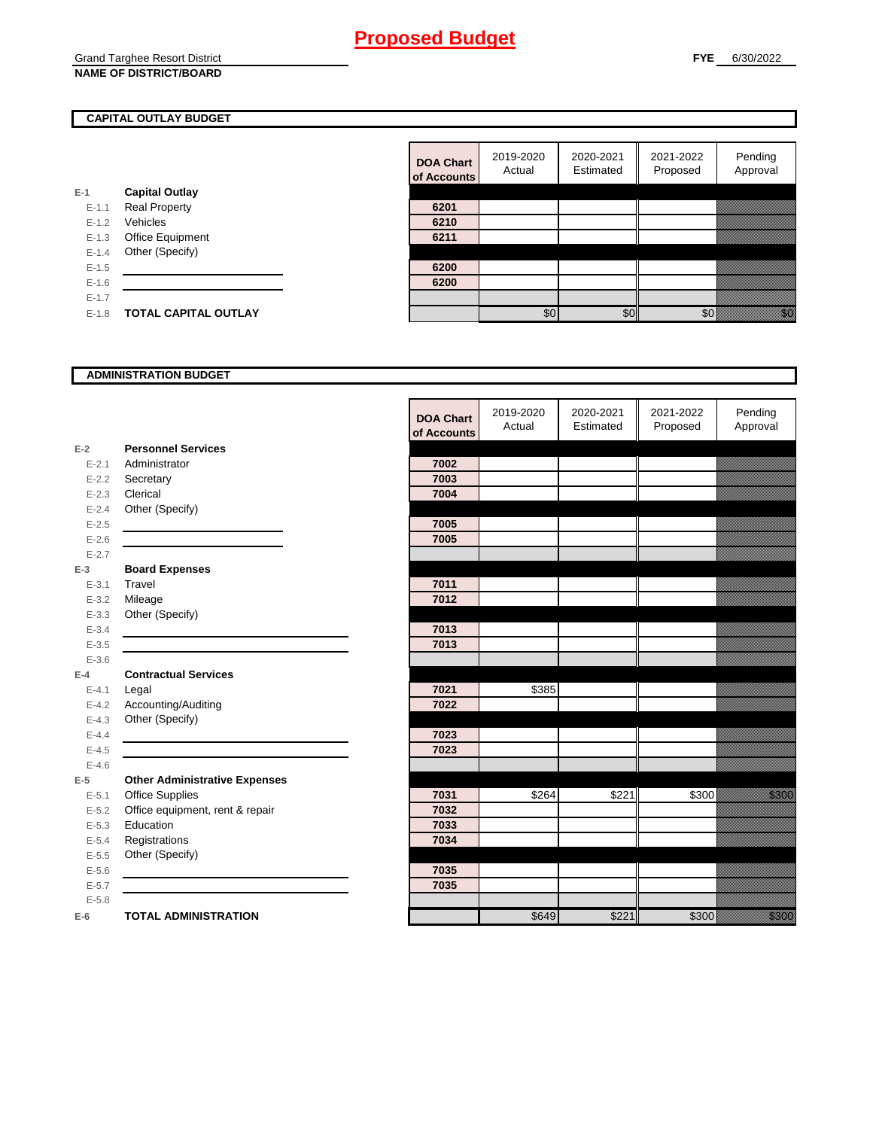### Grand Targhee Resort District **NAME OF DISTRICT/BOARD**

### **CAPITAL OUTLAY BUDGET**

|           |                             | vi nuuv |
|-----------|-----------------------------|---------|
| E-1       | <b>Capital Outlay</b>       |         |
| $E - 1.1$ | <b>Real Property</b>        | 6201    |
| $E - 1.2$ | Vehicles                    | 6210    |
| $E-1.3$   | Office Equipment            | 6211    |
| $E - 1.4$ | Other (Specify)             |         |
| $E-1.5$   |                             | 6200    |
| $E-1.6$   |                             | 6200    |
| $E-1.7$   |                             |         |
| $E - 1.8$ | <b>TOTAL CAPITAL OUTLAY</b> |         |
|           |                             |         |

| <b>DOA Chart</b><br>of Accounts | 2019-2020<br>Actual | 2020-2021<br>Estimated | 2021-2022<br>Proposed | Pending<br>Approval |
|---------------------------------|---------------------|------------------------|-----------------------|---------------------|
|                                 |                     |                        |                       |                     |
| 6201                            |                     |                        |                       |                     |
| 6210                            |                     |                        |                       |                     |
| 6211                            |                     |                        |                       |                     |
|                                 |                     |                        |                       |                     |
| 6200                            |                     |                        |                       |                     |
| 6200                            |                     |                        |                       |                     |
|                                 |                     |                        |                       |                     |
|                                 |                     |                        |                       |                     |

### **ADMINISTRATION BUDGET**

|           |                                      | <b>DOA Chart</b><br>of Accounts | 2019-2020<br>Actual | 2020-2021<br>Estimated | 2021-2022<br>Proposed | Pending<br>Approval |
|-----------|--------------------------------------|---------------------------------|---------------------|------------------------|-----------------------|---------------------|
| $E-2$     | <b>Personnel Services</b>            |                                 |                     |                        |                       |                     |
| $E - 2.1$ | Administrator                        | 7002                            |                     |                        |                       |                     |
| $E - 2.2$ | Secretary                            | 7003                            |                     |                        |                       |                     |
| $E - 2.3$ | Clerical                             | 7004                            |                     |                        |                       |                     |
| $E - 2.4$ | Other (Specify)                      |                                 |                     |                        |                       |                     |
| $E-2.5$   |                                      | 7005                            |                     |                        |                       |                     |
| $E - 2.6$ |                                      | 7005                            |                     |                        |                       |                     |
| $E - 2.7$ |                                      |                                 |                     |                        |                       |                     |
| $E-3$     | <b>Board Expenses</b>                |                                 |                     |                        |                       |                     |
| $E - 3.1$ | Travel                               | 7011                            |                     |                        |                       |                     |
| $E - 3.2$ | Mileage                              | 7012                            |                     |                        |                       |                     |
| $E - 3.3$ | Other (Specify)                      |                                 |                     |                        |                       |                     |
| $E - 3.4$ |                                      | 7013                            |                     |                        |                       |                     |
| $E - 3.5$ |                                      | 7013                            |                     |                        |                       |                     |
| $E - 3.6$ |                                      |                                 |                     |                        |                       |                     |
| $E-4$     | <b>Contractual Services</b>          |                                 |                     |                        |                       |                     |
| $E - 4.1$ | Legal                                | 7021                            | \$385               |                        |                       |                     |
| $E-4.2$   | Accounting/Auditing                  | 7022                            |                     |                        |                       |                     |
| $E - 4.3$ | Other (Specify)                      |                                 |                     |                        |                       |                     |
| $E-4.4$   |                                      | 7023                            |                     |                        |                       |                     |
| $E-4.5$   |                                      | 7023                            |                     |                        |                       |                     |
| $E - 4.6$ |                                      |                                 |                     |                        |                       |                     |
| $E-5$     | <b>Other Administrative Expenses</b> |                                 |                     |                        |                       |                     |
| $E - 5.1$ | <b>Office Supplies</b>               | 7031                            | \$264               | \$221                  | \$300                 | <u>till sta</u>     |
| $E - 5.2$ | Office equipment, rent & repair      | 7032                            |                     |                        |                       |                     |
| $E - 5.3$ | Education                            | 7033                            |                     |                        |                       |                     |
| $E - 5.4$ | Registrations                        | 7034                            |                     |                        |                       |                     |
| $E - 5.5$ | Other (Specify)                      |                                 |                     |                        |                       |                     |
| $E-5.6$   |                                      | 7035                            |                     |                        |                       |                     |
| $E - 5.7$ |                                      | 7035                            |                     |                        |                       |                     |
| $E - 5.8$ |                                      |                                 |                     |                        |                       |                     |
| $E-6$     | <b>TOTAL ADMINISTRATION</b>          |                                 | \$649               | \$221                  | \$300                 | <u>ti k</u>         |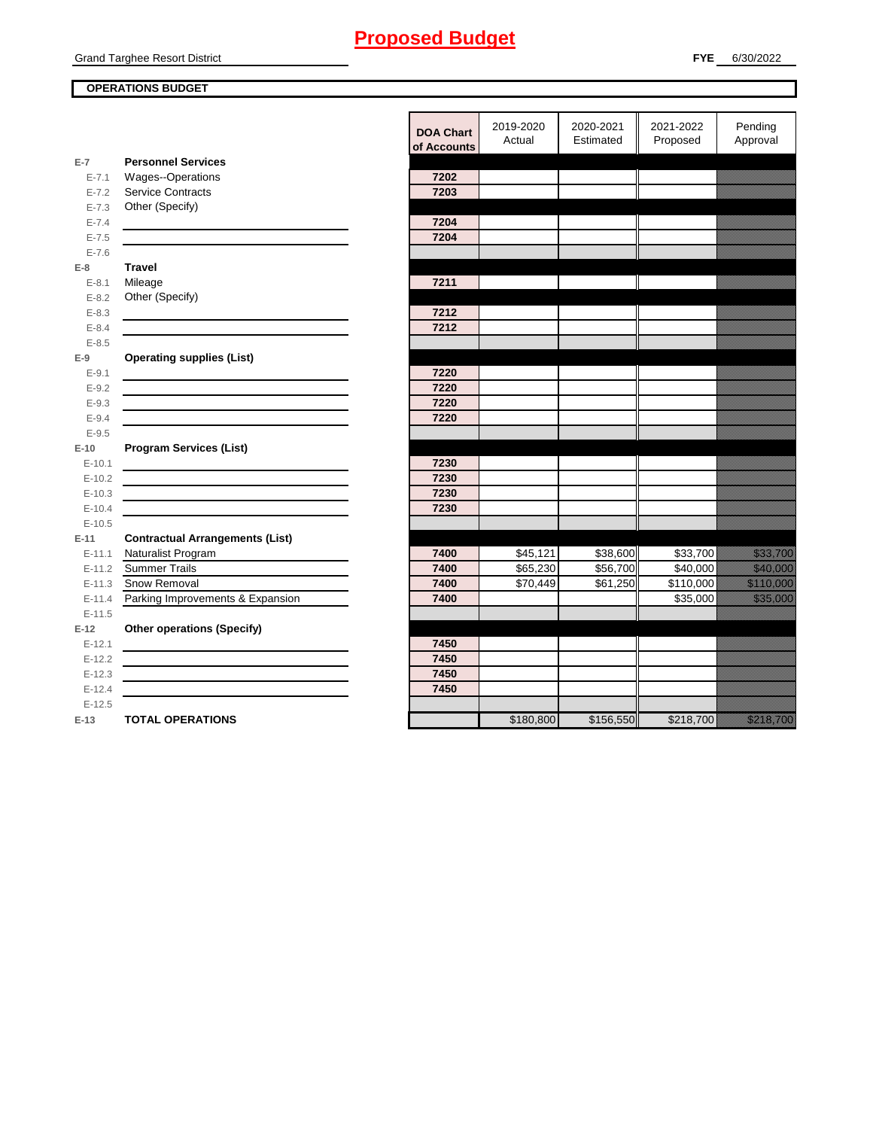### Grand Targhee Resort District

### **OPERATIONS BUDGET**

|                      |                                         | <b>DOA Chart</b><br>of Accounts | 2019-2020<br>Actual | 2020-2021<br>Estimated | 2021-2022<br>Proposed | Pending<br>Approval                                                                                                                                                                                                              |
|----------------------|-----------------------------------------|---------------------------------|---------------------|------------------------|-----------------------|----------------------------------------------------------------------------------------------------------------------------------------------------------------------------------------------------------------------------------|
| $E-7$                | <b>Personnel Services</b>               |                                 |                     |                        |                       |                                                                                                                                                                                                                                  |
| $E - 7.1$            | Wages--Operations                       | 7202                            |                     |                        |                       |                                                                                                                                                                                                                                  |
| $E - 7.2$            | <b>Service Contracts</b>                | 7203                            |                     |                        |                       |                                                                                                                                                                                                                                  |
| $E - 7.3$            | Other (Specify)                         |                                 |                     |                        |                       |                                                                                                                                                                                                                                  |
| $E - 7.4$            |                                         | 7204                            |                     |                        |                       |                                                                                                                                                                                                                                  |
| $E - 7.5$            |                                         | 7204                            |                     |                        |                       |                                                                                                                                                                                                                                  |
| $E - 7.6$            |                                         |                                 |                     |                        |                       |                                                                                                                                                                                                                                  |
| $E-8$                | <b>Travel</b>                           | 7211                            |                     |                        |                       |                                                                                                                                                                                                                                  |
| $E-8.1$<br>$E - 8.2$ | Mileage<br>Other (Specify)              |                                 |                     |                        |                       |                                                                                                                                                                                                                                  |
| $E - 8.3$            |                                         | 7212                            |                     |                        |                       |                                                                                                                                                                                                                                  |
| $E - 8.4$            |                                         | 7212                            |                     |                        |                       |                                                                                                                                                                                                                                  |
| $E - 8.5$            |                                         |                                 |                     |                        |                       |                                                                                                                                                                                                                                  |
| $E-9$                | <b>Operating supplies (List)</b>        |                                 |                     |                        |                       |                                                                                                                                                                                                                                  |
| $E - 9.1$            |                                         | 7220                            |                     |                        |                       |                                                                                                                                                                                                                                  |
| $E - 9.2$            |                                         | 7220                            |                     |                        |                       |                                                                                                                                                                                                                                  |
| $E-9.3$              |                                         | 7220                            |                     |                        |                       |                                                                                                                                                                                                                                  |
| $E - 9.4$            |                                         | 7220                            |                     |                        |                       |                                                                                                                                                                                                                                  |
| $E - 9.5$            |                                         |                                 |                     |                        |                       |                                                                                                                                                                                                                                  |
| $E-10$               | <b>Program Services (List)</b>          |                                 |                     |                        |                       |                                                                                                                                                                                                                                  |
| $E-10.1$             |                                         | 7230                            |                     |                        |                       |                                                                                                                                                                                                                                  |
| $E-10.2$             |                                         | 7230                            |                     |                        |                       |                                                                                                                                                                                                                                  |
| $E-10.3$             |                                         | 7230                            |                     |                        |                       |                                                                                                                                                                                                                                  |
| $E-10.4$             |                                         | 7230                            |                     |                        |                       |                                                                                                                                                                                                                                  |
| $E-10.5$             |                                         |                                 |                     |                        |                       |                                                                                                                                                                                                                                  |
| $E-11$               | <b>Contractual Arrangements (List)</b>  |                                 |                     |                        |                       |                                                                                                                                                                                                                                  |
| $E - 11.1$           | Naturalist Program                      | 7400                            | \$45,121            | \$38,600               | \$33,700              | <u>tionalisti ku</u>                                                                                                                                                                                                             |
| $E - 11.2$           | <b>Summer Trails</b>                    | 7400                            | \$65,230            | \$56,700               | \$40,000              | <u> Harrison (</u>                                                                                                                                                                                                               |
|                      | E-11.3 Snow Removal                     | 7400                            | \$70,449            | \$61,250               | \$110,000             | <u>e di provincia di controlla</u>                                                                                                                                                                                               |
|                      | E-11.4 Parking Improvements & Expansion | 7400                            |                     |                        | \$35,000              | <u> Karl Sara</u>                                                                                                                                                                                                                |
| $E-11.5$             |                                         |                                 |                     |                        |                       |                                                                                                                                                                                                                                  |
| $E-12$               | <b>Other operations (Specify)</b>       |                                 |                     |                        |                       |                                                                                                                                                                                                                                  |
| $E-12.1$             |                                         | 7450                            |                     |                        |                       |                                                                                                                                                                                                                                  |
| $E-12.2$             |                                         | 7450                            |                     |                        |                       |                                                                                                                                                                                                                                  |
| $E-12.3$             |                                         | 7450                            |                     |                        |                       |                                                                                                                                                                                                                                  |
| $E-12.4$             |                                         | 7450                            |                     |                        |                       |                                                                                                                                                                                                                                  |
| $E-12.5$             |                                         |                                 |                     |                        |                       |                                                                                                                                                                                                                                  |
| $E-13$               | <b>TOTAL OPERATIONS</b>                 |                                 | \$180,800           | \$156,550              | \$218,700             | a katika katika katika katika katika katika katika katika katika katika katika katika katika katika katika kat<br>Katika katika katika katika katika katika katika katika katika katika katika katika katika katika katika katik |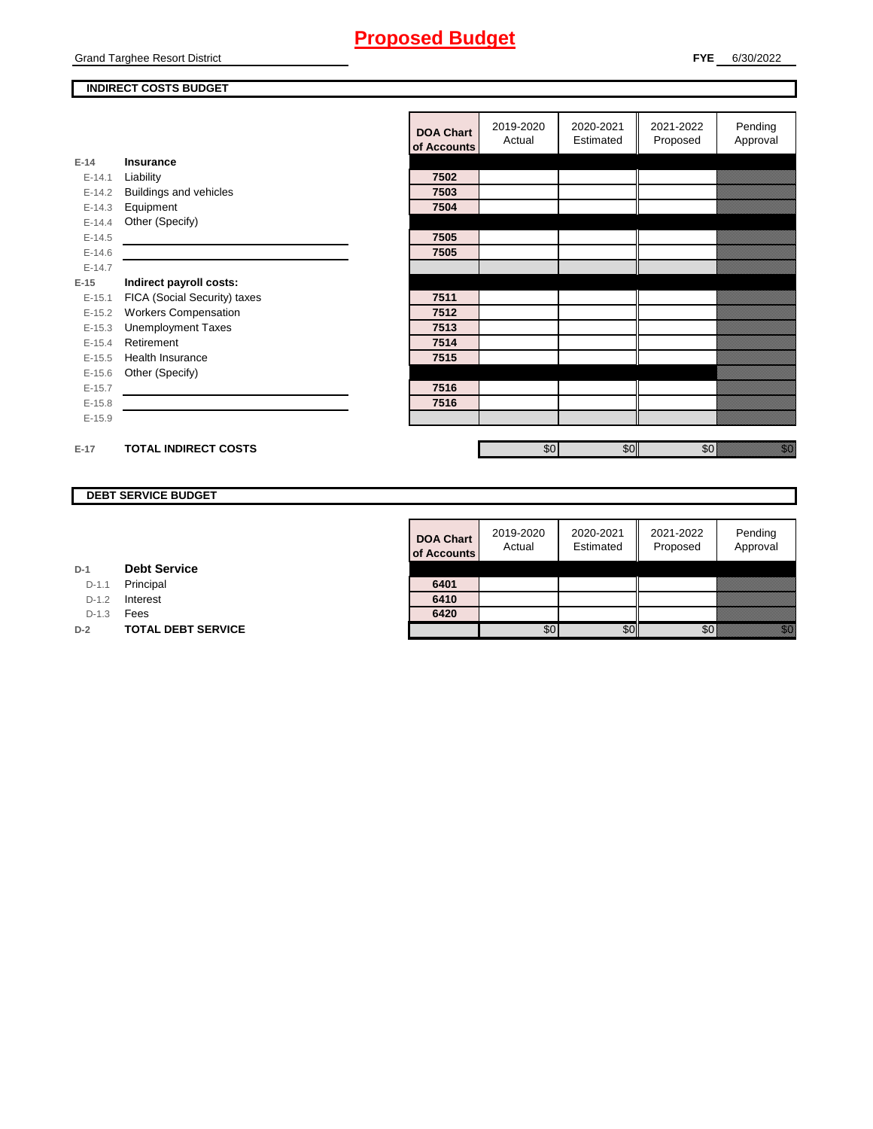Grand Targhee Resort District

### **INDIRECT COSTS BUDGET**

|          |                              | <b>DOA Chart</b><br>of Accounts | 2019-2020<br>Actual | 2020-2021<br>Estimated | 2021-2022<br>Proposed | Pending<br>Approval                                                                                               |
|----------|------------------------------|---------------------------------|---------------------|------------------------|-----------------------|-------------------------------------------------------------------------------------------------------------------|
| $E-14$   | Insurance                    |                                 |                     |                        |                       |                                                                                                                   |
| $E-14.1$ | Liability                    | 7502                            |                     |                        |                       |                                                                                                                   |
| $E-14.2$ | Buildings and vehicles       | 7503                            |                     |                        |                       |                                                                                                                   |
| $E-14.3$ | Equipment                    | 7504                            |                     |                        |                       |                                                                                                                   |
| $E-14.4$ | Other (Specify)              |                                 |                     |                        |                       |                                                                                                                   |
| $E-14.5$ |                              | 7505                            |                     |                        |                       |                                                                                                                   |
| $E-14.6$ |                              | 7505                            |                     |                        |                       |                                                                                                                   |
| $E-14.7$ |                              |                                 |                     |                        |                       |                                                                                                                   |
| $E-15$   | Indirect payroll costs:      |                                 |                     |                        |                       |                                                                                                                   |
| $E-15.1$ | FICA (Social Security) taxes | 7511                            |                     |                        |                       |                                                                                                                   |
| $E-15.2$ | <b>Workers Compensation</b>  | 7512                            |                     |                        |                       |                                                                                                                   |
| $E-15.3$ | <b>Unemployment Taxes</b>    | 7513                            |                     |                        |                       |                                                                                                                   |
| $E-15.4$ | Retirement                   | 7514                            |                     |                        |                       |                                                                                                                   |
| $E-15.5$ | Health Insurance             | 7515                            |                     |                        |                       |                                                                                                                   |
| $E-15.6$ | Other (Specify)              |                                 |                     |                        |                       |                                                                                                                   |
| $E-15.7$ |                              | 7516                            |                     |                        |                       |                                                                                                                   |
| $E-15.8$ |                              | 7516                            |                     |                        |                       |                                                                                                                   |
| $E-15.9$ |                              |                                 |                     |                        |                       |                                                                                                                   |
|          |                              |                                 |                     |                        |                       |                                                                                                                   |
| $E-17$   | <b>TOTAL INDIRECT COSTS</b>  |                                 | \$0                 | \$0                    | \$0                   | en de la falsa<br>Maria de la falsa de la falsa de la falsa de la falsa de la falsa de la falsa de la falsa de la |
|          |                              |                                 |                     |                        |                       |                                                                                                                   |

### **DEBT SERVICE BUDGET**

| 6420                            |                     |                        |                       |                     |
|---------------------------------|---------------------|------------------------|-----------------------|---------------------|
| 6410                            |                     |                        |                       |                     |
| 6401                            |                     |                        |                       |                     |
|                                 |                     |                        |                       |                     |
| <b>DOA Chart</b><br>of Accounts | 2019-2020<br>Actual | 2020-2021<br>Estimated | 2021-2022<br>Proposed | Pending<br>Approval |

**D-1 Debt Service**

D-1.1 Principal

D-1.2 **Interest** 

D-1.3 **Fees** 

**D-2 TOTAL DEBT SERVICE**